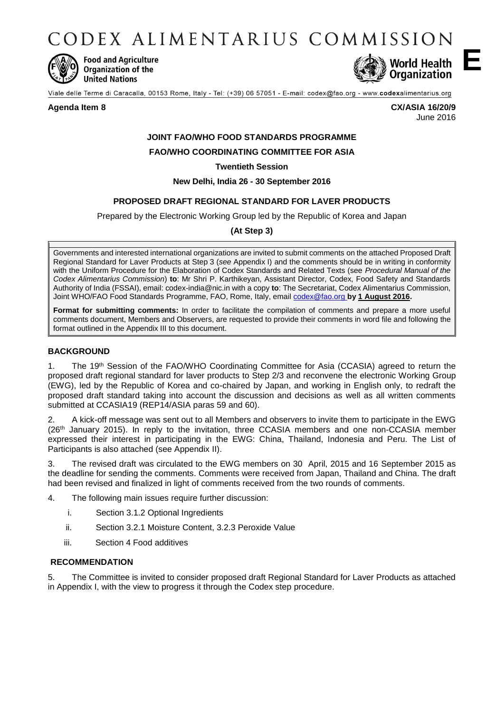CODEX ALIMENTARIUS COMMISSION



**Food and Agriculture** Organization of the **United Nations** 



Viale delle Terme di Caracalla, 00153 Rome, Italy - Tel: (+39) 06 57051 - E-mail: codex@fao.org - www.codexalimentarius.org

**Agenda Item 8 CX/ASIA 16/20/9** June 2016

# **JOINT FAO/WHO FOOD STANDARDS PROGRAMME**

## **FAO/WHO COORDINATING COMMITTEE FOR ASIA**

**Twentieth Session**

**New Delhi, India 26 - 30 September 2016**

## **PROPOSED DRAFT REGIONAL STANDARD FOR LAVER PRODUCTS**

Prepared by the Electronic Working Group led by the Republic of Korea and Japan

**(At Step 3)**

Governments and interested international organizations are invited to submit comments on the attached Proposed Draft Regional Standard for Laver Products at Step 3 (*see* Appendix I) and the comments should be in writing in conformity with the Uniform Procedure for the Elaboration of Codex Standards and Related Texts (see *Procedural Manual of the Codex Alimentarius Commission*) **to**: Mr Shri P. Karthikeyan, Assistant Director, Codex, Food Safety and Standards Authority of India (FSSAI), email: codex-india@nic.in with a copy **to**: The Secretariat, Codex Alimentarius Commission, Joint WHO/FAO Food Standards Programme, FAO, Rome, Italy, emai[l codex@fao.org](mailto:codex@fao.org) **by 1 August 2016.**

**Format for submitting comments:** In order to facilitate the compilation of comments and prepare a more useful comments document, Members and Observers, are requested to provide their comments in word file and following the format outlined in the Appendix III to this document.

## **BACKGROUND**

1. The 19<sup>th</sup> Session of the FAO/WHO Coordinating Committee for Asia (CCASIA) agreed to return the proposed draft regional standard for laver products to Step 2/3 and reconvene the electronic Working Group (EWG), led by the Republic of Korea and co-chaired by Japan, and working in English only, to redraft the proposed draft standard taking into account the discussion and decisions as well as all written comments submitted at CCASIA19 (REP14/ASIA paras 59 and 60).

2. A kick-off message was sent out to all Members and observers to invite them to participate in the EWG (26th January 2015). In reply to the invitation, three CCASIA members and one non-CCASIA member expressed their interest in participating in the EWG: China, Thailand, Indonesia and Peru. The List of Participants is also attached (see Appendix II).

3. The revised draft was circulated to the EWG members on 30 April, 2015 and 16 September 2015 as the deadline for sending the comments. Comments were received from Japan, Thailand and China. The draft had been revised and finalized in light of comments received from the two rounds of comments.

4. The following main issues require further discussion:

- i. Section 3.1.2 Optional Ingredients
- ii. Section 3.2.1 Moisture Content, 3.2.3 Peroxide Value
- iii. Section 4 Food additives

## **RECOMMENDATION**

5. The Committee is invited to consider proposed draft Regional Standard for Laver Products as attached in Appendix I, with the view to progress it through the Codex step procedure.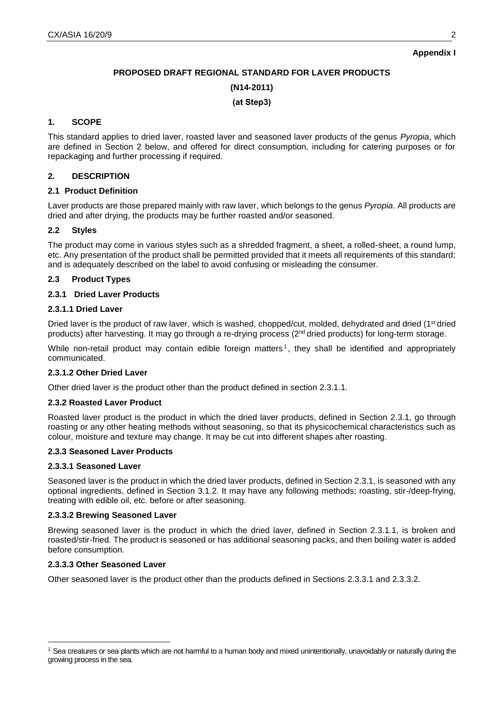**Appendix I**

# **PROPOSED DRAFT REGIONAL STANDARD FOR LAVER PRODUCTS**

**(N14-2011)**

#### **(at Step3)**

## **1. SCOPE**

This standard applies to dried laver, roasted laver and seasoned laver products of the genus *Pyropia*, which are defined in Section 2 below, and offered for direct consumption, including for catering purposes or for repackaging and further processing if required.

## **2. DESCRIPTION**

## **2.1 Product Definition**

Laver products are those prepared mainly with raw laver, which belongs to the genus *Pyropia*. All products are dried and after drying, the products may be further roasted and/or seasoned.

## **2.2 Styles**

The product may come in various styles such as a shredded fragment, a sheet, a rolled-sheet, a round lump, etc. Any presentation of the product shall be permitted provided that it meets all requirements of this standard; and is adequately described on the label to avoid confusing or misleading the consumer.

## **2.3 Product Types**

## **2.3.1 Dried Laver Products**

#### **2.3.1.1 Dried Laver**

Dried laver is the product of raw laver, which is washed, chopped/cut, molded, dehydrated and dried (1<sup>st</sup> dried products) after harvesting. It may go through a re-drying process (2<sup>nd</sup> dried products) for long-term storage.

While non-retail product may contain edible foreign matters<sup>1</sup>, they shall be identified and appropriately communicated.

## **2.3.1.2 Other Dried Laver**

Other dried laver is the product other than the product defined in section 2.3.1.1.

## **2.3.2 Roasted Laver Product**

Roasted laver product is the product in which the dried laver products, defined in Section 2.3.1, go through roasting or any other heating methods without seasoning, so that its physicochemical characteristics such as colour, moisture and texture may change. It may be cut into different shapes after roasting.

## **2.3.3 Seasoned Laver Products**

#### **2.3.3.1 Seasoned Laver**

Seasoned laver is the product in which the dried laver products, defined in Section 2.3.1, is seasoned with any optional ingredients, defined in Section 3.1.2. It may have any following methods; roasting, stir-/deep-frying, treating with edible oil, etc. before or after seasoning.

#### **2.3.3.2 Brewing Seasoned Laver**

Brewing seasoned laver is the product in which the dried laver, defined in Section 2.3.1.1, is broken and roasted/stir-fried. The product is seasoned or has additional seasoning packs, and then boiling water is added before consumption.

#### **2.3.3.3 Other Seasoned Laver**

-

Other seasoned laver is the product other than the products defined in Sections 2.3.3.1 and 2.3.3.2.

<sup>&</sup>lt;sup>1</sup> Sea creatures or sea plants which are not harmful to a human body and mixed unintentionally, unavoidably or naturally during the growing process in the sea.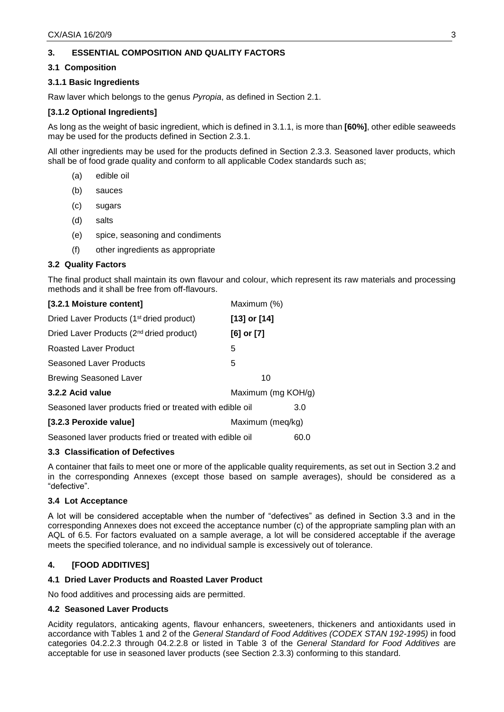## **3. ESSENTIAL COMPOSITION AND QUALITY FACTORS**

#### **3.1 Composition**

#### **3.1.1 Basic Ingredients**

Raw laver which belongs to the genus *Pyropia*, as defined in Section 2.1.

#### **[3.1.2 Optional Ingredients]**

As long as the weight of basic ingredient, which is defined in 3.1.1, is more than **[60%]**, other edible seaweeds may be used for the products defined in Section 2.3.1.

All other ingredients may be used for the products defined in Section 2.3.3. Seasoned laver products, which shall be of food grade quality and conform to all applicable Codex standards such as;

- (a) edible oil
- (b) sauces
- (c) sugars
- (d) salts
- (e) spice, seasoning and condiments
- (f) other ingredients as appropriate

#### **3.2 Quality Factors**

The final product shall maintain its own flavour and colour, which represent its raw materials and processing methods and it shall be free from off-flavours.

| [3.2.1 Moisture content]                                 | Maximum (%)        |      |
|----------------------------------------------------------|--------------------|------|
| Dried Laver Products (1 <sup>st</sup> dried product)     | $[13]$ or $[14]$   |      |
| Dried Laver Products (2 <sup>nd</sup> dried product)     | $[6]$ or $[7]$     |      |
| <b>Roasted Laver Product</b>                             | 5                  |      |
| Seasoned Laver Products                                  | 5                  |      |
| <b>Brewing Seasoned Laver</b>                            | 10                 |      |
| 3.2.2 Acid value                                         | Maximum (mg KOH/g) |      |
| Seasoned laver products fried or treated with edible oil |                    | 3.0  |
| [3.2.3 Peroxide value]                                   | Maximum (meg/kg)   |      |
| Seasoned laver products fried or treated with edible oil |                    | 60.0 |

## **3.3 Classification of Defectives**

A container that fails to meet one or more of the applicable quality requirements, as set out in Section 3.2 and in the corresponding Annexes (except those based on sample averages), should be considered as a "defective".

#### **3.4 Lot Acceptance**

A lot will be considered acceptable when the number of "defectives" as defined in Section 3.3 and in the corresponding Annexes does not exceed the acceptance number (c) of the appropriate sampling plan with an AQL of 6.5. For factors evaluated on a sample average, a lot will be considered acceptable if the average meets the specified tolerance, and no individual sample is excessively out of tolerance.

## **4. [FOOD ADDITIVES]**

#### **4.1 Dried Laver Products and Roasted Laver Product**

No food additives and processing aids are permitted.

#### **4.2 Seasoned Laver Products**

Acidity regulators, anticaking agents, flavour enhancers, sweeteners, thickeners and antioxidants used in accordance with Tables 1 and 2 of the *General Standard of Food Additives (CODEX STAN 192-1995)* in food categories 04.2.2.3 through 04.2.2.8 or listed in Table 3 of the *General Standard for Food Additives* are acceptable for use in seasoned laver products (see Section 2.3.3) conforming to this standard.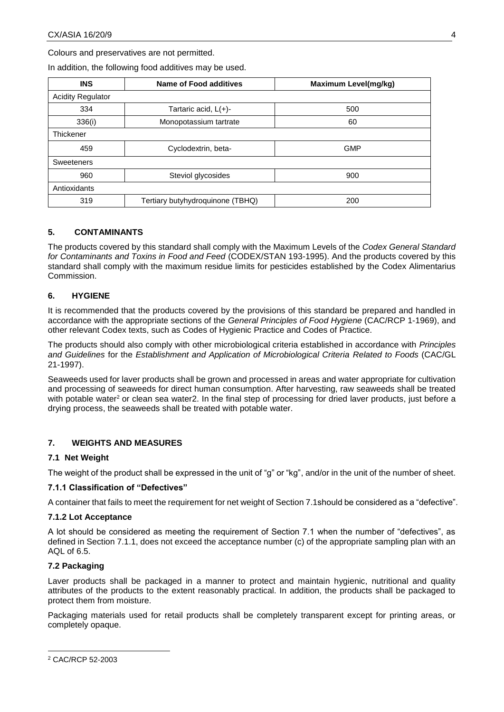Colours and preservatives are not permitted.

In addition, the following food additives may be used.

| <b>INS</b>               | Name of Food additives           | <b>Maximum Level(mg/kg)</b> |  |
|--------------------------|----------------------------------|-----------------------------|--|
| <b>Acidity Regulator</b> |                                  |                             |  |
| 334                      | Tartaric acid, $L(+)$ -          | 500                         |  |
| 336(i)                   | Monopotassium tartrate           | 60                          |  |
| Thickener                |                                  |                             |  |
| 459                      | Cyclodextrin, beta-              | <b>GMP</b>                  |  |
| Sweeteners               |                                  |                             |  |
| 960                      | Steviol glycosides               | 900                         |  |
| Antioxidants             |                                  |                             |  |
| 319                      | Tertiary butyhydroquinone (TBHQ) | 200                         |  |

## **5. CONTAMINANTS**

The products covered by this standard shall comply with the Maximum Levels of the *Codex General Standard for Contaminants and Toxins in Food and Feed* (CODEX/STAN 193-1995). And the products covered by this standard shall comply with the maximum residue limits for pesticides established by the Codex Alimentarius Commission.

## **6. HYGIENE**

It is recommended that the products covered by the provisions of this standard be prepared and handled in accordance with the appropriate sections of the *General Principles of Food Hygiene* (CAC/RCP 1-1969), and other relevant Codex texts, such as Codes of Hygienic Practice and Codes of Practice.

The products should also comply with other microbiological criteria established in accordance with *Principles and Guidelines* for the *Establishment and Application of Microbiological Criteria Related to Foods* (CAC/GL 21-1997).

<span id="page-3-0"></span>Seaweeds used for laver products shall be grown and processed in areas and water appropriate for cultivation and processing of seaweeds for direct human consumption. After harvesting, raw seaweeds shall be treated with potable water<sup>2</sup> or clean sea wate[r2.](#page-3-0) In the final step of processing for dried laver products, just before a drying process, the seaweeds shall be treated with potable water.

## **7. WEIGHTS AND MEASURES**

## **7.1 Net Weight**

The weight of the product shall be expressed in the unit of "g" or "kg", and/or in the unit of the number of sheet.

## **7.1.1 Classification of "Defectives"**

A container that fails to meet the requirement for net weight of Section 7.1should be considered as a "defective".

#### **7.1.2 Lot Acceptance**

A lot should be considered as meeting the requirement of Section 7.1 when the number of "defectives", as defined in Section 7.1.1, does not exceed the acceptance number (c) of the appropriate sampling plan with an AQL of 6.5.

## **7.2 Packaging**

Laver products shall be packaged in a manner to protect and maintain hygienic, nutritional and quality attributes of the products to the extent reasonably practical. In addition, the products shall be packaged to protect them from moisture.

Packaging materials used for retail products shall be completely transparent except for printing areas, or completely opaque.

-

<sup>2</sup> CAC/RCP 52-2003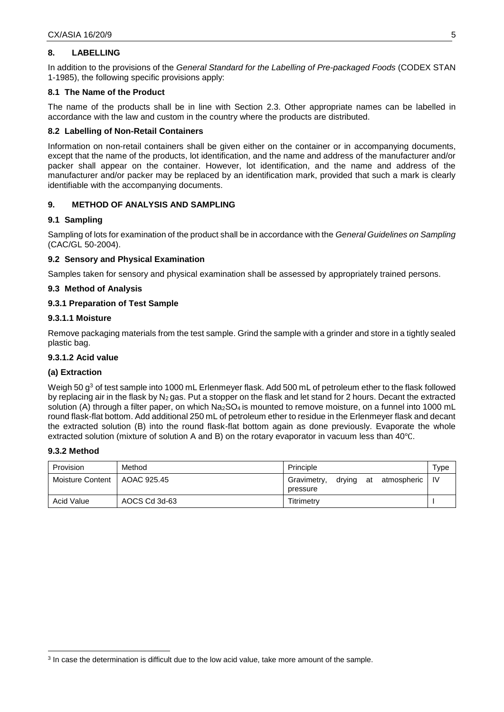## **8. LABELLING**

In addition to the provisions of the *General Standard for the Labelling of Pre-packaged Foods* (CODEX STAN 1-1985), the following specific provisions apply:

## **8.1 The Name of the Product**

The name of the products shall be in line with Section 2.3. Other appropriate names can be labelled in accordance with the law and custom in the country where the products are distributed.

#### **8.2 Labelling of Non-Retail Containers**

Information on non-retail containers shall be given either on the container or in accompanying documents, except that the name of the products, lot identification, and the name and address of the manufacturer and/or packer shall appear on the container. However, lot identification, and the name and address of the manufacturer and/or packer may be replaced by an identification mark, provided that such a mark is clearly identifiable with the accompanying documents.

#### **9. METHOD OF ANALYSIS AND SAMPLING**

#### **9.1 Sampling**

Sampling of lots for examination of the product shall be in accordance with the *General Guidelines on Sampling* (CAC/GL 50-2004).

#### **9.2 Sensory and Physical Examination**

Samples taken for sensory and physical examination shall be assessed by appropriately trained persons.

#### **9.3 Method of Analysis**

#### **9.3.1 Preparation of Test Sample**

#### **9.3.1.1 Moisture**

Remove packaging materials from the test sample. Grind the sample with a grinder and store in a tightly sealed plastic bag.

#### **9.3.1.2 Acid value**

## **(a) Extraction**

Weigh 50 g<sup>3</sup> of test sample into 1000 mL Erlenmeyer flask. Add 500 mL of petroleum ether to the flask followed by replacing air in the flask by  $N_2$  gas. Put a stopper on the flask and let stand for 2 hours. Decant the extracted solution (A) through a filter paper, on which Na<sub>2</sub>SO<sub>4</sub> is mounted to remove moisture, on a funnel into 1000 mL round flask-flat bottom. Add additional 250 mL of petroleum ether to residue in the Erlenmeyer flask and decant the extracted solution (B) into the round flask-flat bottom again as done previously. Evaporate the whole extracted solution (mixture of solution A and B) on the rotary evaporator in vacuum less than 40℃.

#### **9.3.2 Method**

-

| Provision        | Method        | Principle                                              | $\tau_\mathsf{VDE}$ |
|------------------|---------------|--------------------------------------------------------|---------------------|
| Moisture Content | AOAC 925.45   | atmospheric<br>Gravimetry,<br>drying<br>at<br>pressure | - IV                |
| Acid Value       | AOCS Cd 3d-63 | Titrimetry                                             |                     |

 $3$  In case the determination is difficult due to the low acid value, take more amount of the sample.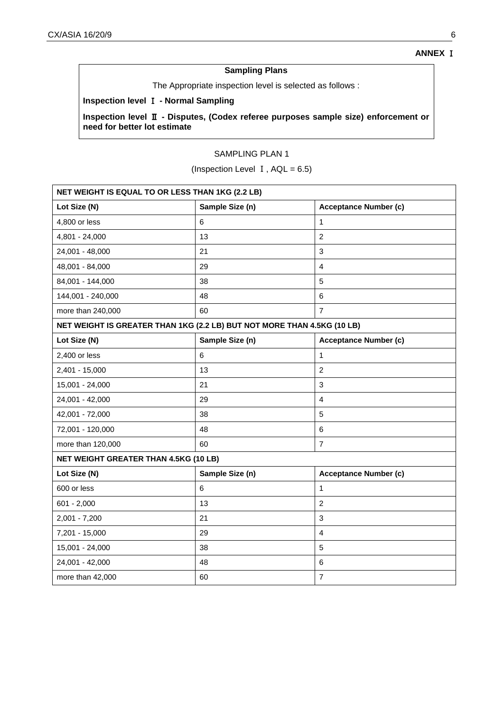# **Sampling Plans**

The Appropriate inspection level is selected as follows :

## **Inspection level** Ⅰ **- Normal Sampling**

**Inspection level** Ⅱ **- Disputes, (Codex referee purposes sample size) enforcement or need for better lot estimate**

# SAMPLING PLAN 1

(Inspection Level  $I$ ,  $AQL = 6.5$ )

| NET WEIGHT IS EQUAL TO OR LESS THAN 1KG (2.2 LB)                        |                 |                              |  |
|-------------------------------------------------------------------------|-----------------|------------------------------|--|
| Lot Size (N)                                                            | Sample Size (n) | <b>Acceptance Number (c)</b> |  |
| 4,800 or less                                                           | 6               | 1                            |  |
| 4,801 - 24,000                                                          | 13              | $\overline{2}$               |  |
| 24,001 - 48,000                                                         | 21              | 3                            |  |
| 48,001 - 84,000                                                         | 29              | 4                            |  |
| 84,001 - 144,000                                                        | 38              | 5                            |  |
| 144,001 - 240,000                                                       | 48              | 6                            |  |
| more than 240,000                                                       | 60              | $\overline{7}$               |  |
| NET WEIGHT IS GREATER THAN 1KG (2.2 LB) BUT NOT MORE THAN 4.5KG (10 LB) |                 |                              |  |
| Lot Size (N)                                                            | Sample Size (n) | <b>Acceptance Number (c)</b> |  |
| 2,400 or less                                                           | 6               | 1                            |  |
| 2,401 - 15,000                                                          | 13              | $\overline{2}$               |  |
| 15,001 - 24,000                                                         | 21              | $\mathfrak{S}$               |  |
| 24,001 - 42,000                                                         | 29              | 4                            |  |
| 42,001 - 72,000                                                         | 38              | 5                            |  |
| 72,001 - 120,000                                                        | 48              | 6                            |  |
| more than 120,000                                                       | 60              | $\overline{7}$               |  |
| <b>NET WEIGHT GREATER THAN 4.5KG (10 LB)</b>                            |                 |                              |  |
| Lot Size (N)                                                            | Sample Size (n) | <b>Acceptance Number (c)</b> |  |
| 600 or less                                                             | 6               | $\mathbf{1}$                 |  |
| $601 - 2,000$                                                           | 13              | $\overline{c}$               |  |
| $2,001 - 7,200$                                                         | 21              | $\mathfrak{S}$               |  |
| 7,201 - 15,000                                                          | 29              | $\overline{4}$               |  |
| 15,001 - 24,000                                                         | 38              | 5                            |  |
| 24,001 - 42,000                                                         | 48              | 6                            |  |
| more than 42,000                                                        | 60              | $\overline{7}$               |  |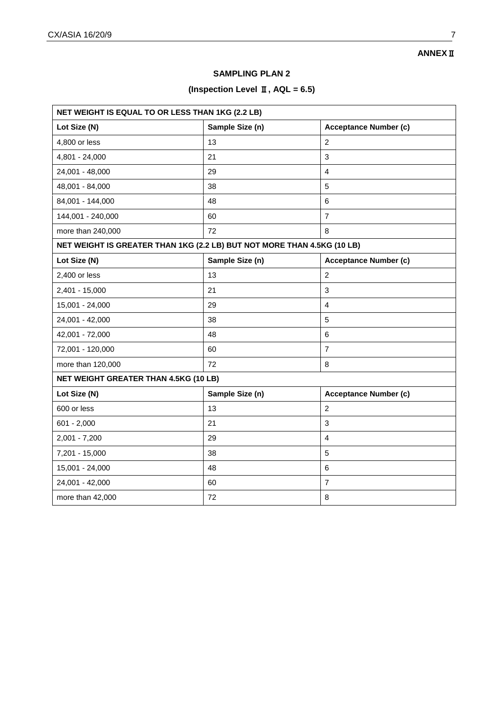# **ANNEX**Ⅱ

## **SAMPLING PLAN 2**

# **(Inspection Level** Ⅱ**, AQL = 6.5)**

| NET WEIGHT IS EQUAL TO OR LESS THAN 1KG (2.2 LB)                        |                 |                              |  |
|-------------------------------------------------------------------------|-----------------|------------------------------|--|
| Lot Size (N)                                                            | Sample Size (n) | <b>Acceptance Number (c)</b> |  |
| 4,800 or less                                                           | 13              | $\overline{2}$               |  |
| 4,801 - 24,000                                                          | 21              | 3                            |  |
| 24,001 - 48,000                                                         | 29              | $\overline{4}$               |  |
| 48,001 - 84,000                                                         | 38              | 5                            |  |
| 84,001 - 144,000                                                        | 48              | 6                            |  |
| 144,001 - 240,000                                                       | 60              | $\overline{7}$               |  |
| more than 240,000                                                       | 72              | 8                            |  |
| NET WEIGHT IS GREATER THAN 1KG (2.2 LB) BUT NOT MORE THAN 4.5KG (10 LB) |                 |                              |  |
| Lot Size (N)                                                            | Sample Size (n) | <b>Acceptance Number (c)</b> |  |
| 2,400 or less                                                           | 13              | 2                            |  |
| 2,401 - 15,000                                                          | 21              | 3                            |  |
| 15,001 - 24,000                                                         | 29              | $\overline{4}$               |  |
| 24,001 - 42,000                                                         | 38              | 5                            |  |
| 42,001 - 72,000                                                         | 48              | 6                            |  |
| 72,001 - 120,000                                                        | 60              | $\overline{7}$               |  |
| more than 120,000                                                       | 72              | 8                            |  |
| <b>NET WEIGHT GREATER THAN 4.5KG (10 LB)</b>                            |                 |                              |  |
| Lot Size (N)                                                            | Sample Size (n) | <b>Acceptance Number (c)</b> |  |
| 600 or less                                                             | 13              | $\overline{2}$               |  |
| $601 - 2,000$                                                           | 21              | $\sqrt{3}$                   |  |
| $2,001 - 7,200$                                                         | 29              | $\overline{4}$               |  |
| 7,201 - 15,000                                                          | 38              | 5                            |  |
| 15,001 - 24,000                                                         | 48              | $\,6\,$                      |  |
| 24,001 - 42,000                                                         | 60              | $\overline{7}$               |  |
| more than 42,000                                                        | 72              | 8                            |  |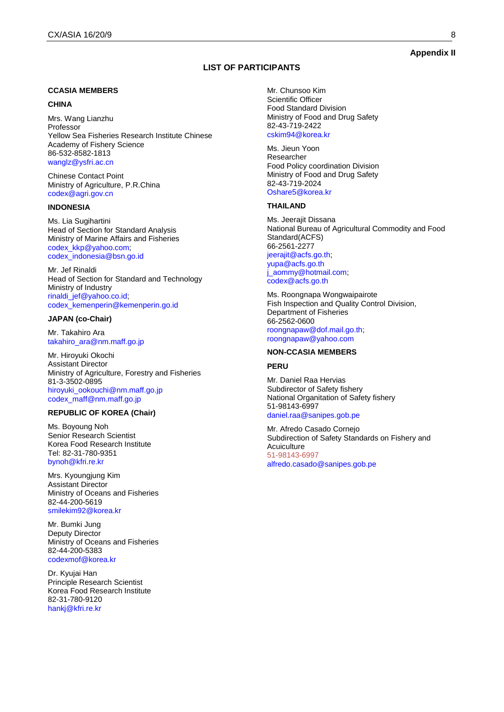## **Appendix II**

#### **LIST OF PARTICIPANTS**

#### **CCASIA MEMBERS**

#### **CHINA**

Mrs. Wang Lianzhu Professor Yellow Sea Fisheries Research Institute Chinese Academy of Fishery Science 86-532-8582-1813 [wanglz@ysfri.ac.cn](mailto:wanglz@ysfri.ac.cn)

Chinese Contact Point Ministry of Agriculture, P.R.China [codex@agri.gov.cn](mailto:codex@agri.gov.cn)

#### **INDONESIA**

Ms. Lia Sugihartini Head of Section for Standard Analysis Ministry of Marine Affairs and Fisheries [codex\\_kkp@yahoo.com;](mailto:codex_kkp@yahoo.com) [codex\\_indonesia@bsn.go.id](mailto:codex_indonesia@bsn.go.id)

Mr. Jef Rinaldi Head of Section for Standard and Technology Ministry of Industry [rinaldi\\_jef@yahoo.co.id;](mailto:rinaldi_jef@yahoo.co.id) [codex\\_kemenperin@kemenperin.go.id](mailto:codex_kemenperin@kemenperin.go.id)

#### **JAPAN (co-Chair)**

Mr. Takahiro Ara [takahiro\\_ara@nm.maff.go.jp](mailto:takahiro_ara@nm.maff.go.jp)

Mr. Hiroyuki Okochi Assistant Director Ministry of Agriculture, Forestry and Fisheries 81-3-3502-0895 [hiroyuki\\_ookouchi@nm.maff.go.jp](mailto:hiroyuki_ookouchi@nm.maff.go.jp) [codex\\_maff@nm.maff.go.jp](mailto:codex_maff@nm.maff.go.jp)

#### **REPUBLIC OF KOREA (Chair)**

Ms. Boyoung Noh Senior Research Scientist Korea Food Research Institute Tel: 82-31-780-9351 [bynoh@kfri.re.kr](mailto:bynoh@kfri.re.kr)

Mrs. Kyoungjung Kim Assistant Director Ministry of Oceans and Fisheries 82-44-200-5619 [smilekim92@korea.kr](mailto:smilekim92@korea.kr)

Mr. Bumki Jung Deputy Director Ministry of Oceans and Fisheries 82-44-200-5383 [codexmof@korea.kr](mailto:codexmof@korea.kr)

Dr. Kyujai Han Principle Research Scientist Korea Food Research Institute 82-31-780-9120 [hankj@kfri.re.kr](mailto:hankj@kfri.re.kr)

Mr. Chunsoo Kim Scientific Officer Food Standard Division Ministry of Food and Drug Safety 82-43-719-2422 [cskim94@korea.kr](mailto:cskim94@korea.kr)

Ms. Jieun Yoon Researcher Food Policy coordination Division Ministry of Food and Drug Safety 82-43-719-2024 [Oshare5@korea.kr](mailto:Oshare5@korea.kr)

#### **THAILAND**

Ms. Jeerajit Dissana National Bureau of Agricultural Commodity and Food Standard(ACFS) 66-2561-2277 [jeerajit@acfs.go.th;](mailto:jeerajit@acfs.go.th) [yupa@acfs.go.th](mailto:yupa@acfs.go.th) [j\\_aommy@hotmail.com;](mailto:j_aommy@hotmail.com) [codex@acfs.go.th](mailto:codex@acfs.go.th)

Ms. Roongnapa Wongwaipairote Fish Inspection and Quality Control Division, Department of Fisheries 66-2562-0600 [roongnapaw@dof.mail.go.th;](mailto:roongnapaw@dof.mail.go.th) [roongnapaw@yahoo.com](mailto:roongnapaw@yahoo.com)

#### **NON-CCASIA MEMBERS**

#### **PERU**

Mr. Daniel Raa Hervias Subdirector of Safety fishery National Organitation of Safety fishery 51-98143-6997 [daniel.raa@sanipes.gob.pe](mailto:daniel.raa@sanipes.gob.pe)

Mr. Afredo Casado Cornejo Subdirection of Safety Standards on Fishery and **Acuiculture** 51-98143-6997 [alfredo.casado@sanipes.gob.pe](mailto:alfredo.casado@sanipes.gob.pe)